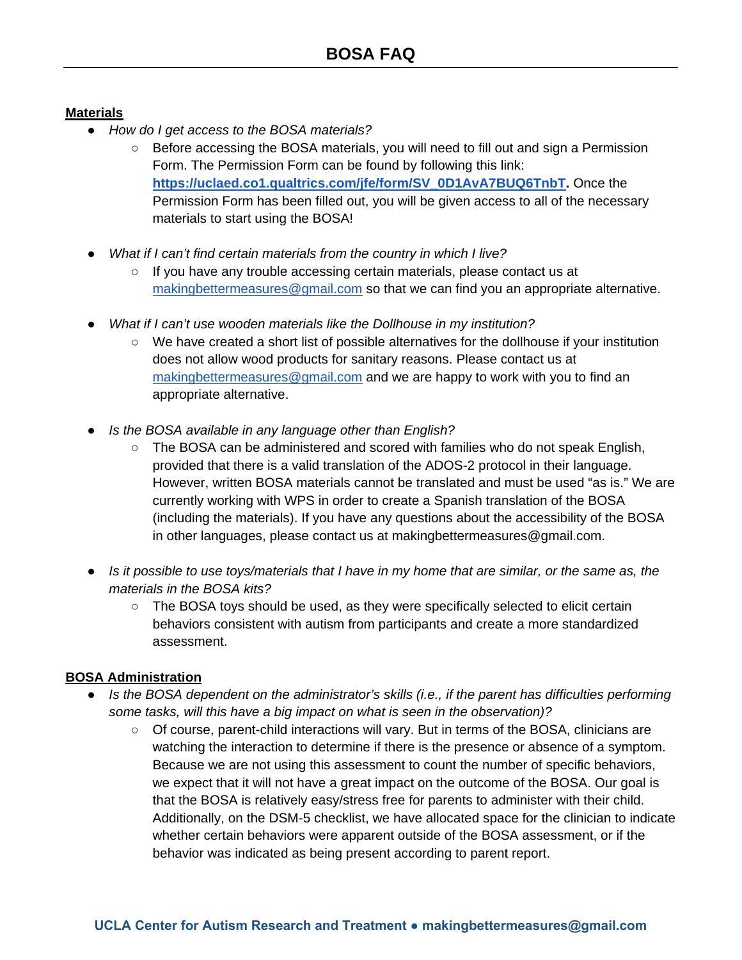## **Materials**

- *How do I get access to the BOSA materials?*
	- Before accessing the BOSA materials, you will need to fill out and sign a Permission Form. The Permission Form can be found by following this link: **[https://uclaed.co1.qualtrics.com/jfe/form/SV\\_0D1AvA7BUQ6TnbT.](https://uclaed.co1.qualtrics.com/jfe/form/SV_0D1AvA7BUQ6TnbT)** Once the Permission Form has been filled out, you will be given access to all of the necessary materials to start using the BOSA!
- *What if I can't find certain materials from the country in which I live?* 
	- If you have any trouble accessing certain materials, please contact us at [makingbettermeasures@gmail.com](mailto:makingbettermeasures@gmail.com) so that we can find you an appropriate alternative.
- *What if I can't use wooden materials like the Dollhouse in my institution?* 
	- We have created a short list of possible alternatives for the dollhouse if your institution does not allow wood products for sanitary reasons. Please contact us at [makingbettermeasures@gmail.com](mailto:makingbettermeasures@gmail.com) and we are happy to work with you to find an appropriate alternative.
- *Is the BOSA available in any language other than English?*
	- The BOSA can be administered and scored with families who do not speak English, provided that there is a valid translation of the ADOS-2 protocol in their language. However, written BOSA materials cannot be translated and must be used "as is." We are currently working with WPS in order to create a Spanish translation of the BOSA (including the materials). If you have any questions about the accessibility of the BOSA in other languages, please contact us at makingbettermeasures@gmail.com.
- *Is it possible to use toys/materials that I have in my home that are similar, or the same as, the materials in the BOSA kits?*
	- The BOSA toys should be used, as they were specifically selected to elicit certain behaviors consistent with autism from participants and create a more standardized assessment.

## **BOSA Administration**

- *Is the BOSA dependent on the administrator's skills (i.e., if the parent has difficulties performing some tasks, will this have a big impact on what is seen in the observation)?*
	- Of course, parent-child interactions will vary. But in terms of the BOSA, clinicians are watching the interaction to determine if there is the presence or absence of a symptom. Because we are not using this assessment to count the number of specific behaviors, we expect that it will not have a great impact on the outcome of the BOSA. Our goal is that the BOSA is relatively easy/stress free for parents to administer with their child. Additionally, on the DSM-5 checklist, we have allocated space for the clinician to indicate whether certain behaviors were apparent outside of the BOSA assessment, or if the behavior was indicated as being present according to parent report.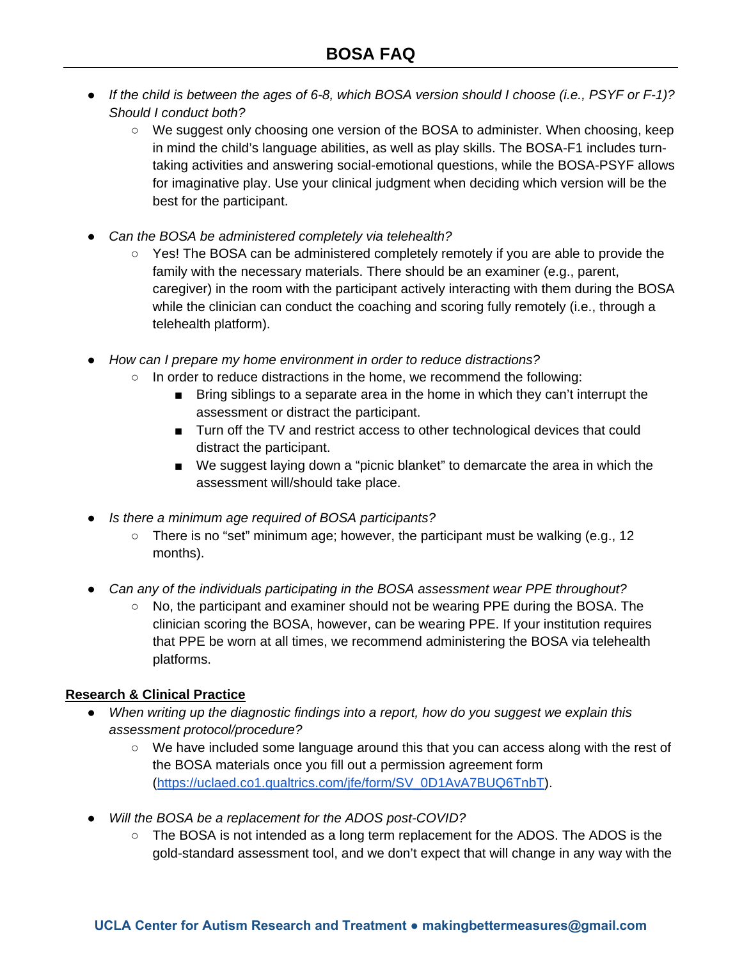- *If the child is between the ages of 6-8, which BOSA version should I choose (i.e., PSYF or F-1)? Should I conduct both?* 
	- We suggest only choosing one version of the BOSA to administer. When choosing, keep in mind the child's language abilities, as well as play skills. The BOSA-F1 includes turntaking activities and answering social-emotional questions, while the BOSA-PSYF allows for imaginative play. Use your clinical judgment when deciding which version will be the best for the participant.
- *Can the BOSA be administered completely via telehealth?*
	- Yes! The BOSA can be administered completely remotely if you are able to provide the family with the necessary materials. There should be an examiner (e.g., parent, caregiver) in the room with the participant actively interacting with them during the BOSA while the clinician can conduct the coaching and scoring fully remotely (i.e., through a telehealth platform).
- *How can I prepare my home environment in order to reduce distractions?*
	- $\circ$  In order to reduce distractions in the home, we recommend the following:
		- Bring siblings to a separate area in the home in which they can't interrupt the assessment or distract the participant.
		- Turn off the TV and restrict access to other technological devices that could distract the participant.
		- We suggest laying down a "picnic blanket" to demarcate the area in which the assessment will/should take place.
- *Is there a minimum age required of BOSA participants?*
	- $\circ$  There is no "set" minimum age; however, the participant must be walking (e.g., 12) months).
- *Can any of the individuals participating in the BOSA assessment wear PPE throughout?* 
	- No, the participant and examiner should not be wearing PPE during the BOSA. The clinician scoring the BOSA, however, can be wearing PPE. If your institution requires that PPE be worn at all times, we recommend administering the BOSA via telehealth platforms.

## **Research & Clinical Practice**

- *When writing up the diagnostic findings into a report, how do you suggest we explain this assessment protocol/procedure?*
	- We have included some language around this that you can access along with the rest of the BOSA materials once you fill out a permission agreement form [\(https://uclaed.co1.qualtrics.com/jfe/form/SV\\_0D1AvA7BUQ6TnbT\)](https://uclaed.co1.qualtrics.com/jfe/form/SV_0D1AvA7BUQ6TnbT).
- *Will the BOSA be a replacement for the ADOS post-COVID?*
	- The BOSA is not intended as a long term replacement for the ADOS. The ADOS is the gold-standard assessment tool, and we don't expect that will change in any way with the